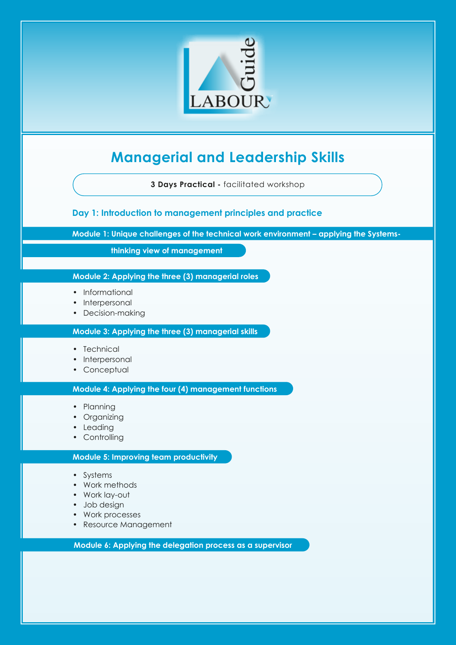

# **Managerial and Leadership Skills**

**3 Days Practical -** facilitated workshop

**Day 1: Introduction to management principles and practice**

**Module 1: Unique challenges of the technical work environment – applying the Systems-**

 **thinking view of management**

### **Module 2: Applying the three (3) managerial roles**

- Informational
- Interpersonal
- Decision-making

#### **Module 3: Applying the three (3) managerial skills**

- Technical
- Interpersonal
- Conceptual

**Module 4: Applying the four (4) management functions**

- Planning
- Organizing
- Leading
- Controlling

#### **Module 5: Improving team productivity**

- Systems
- Work methods
- Work lay-out
- Job design
- Work processes
- Resource Management

**Module 6: Applying the delegation process as a supervisor**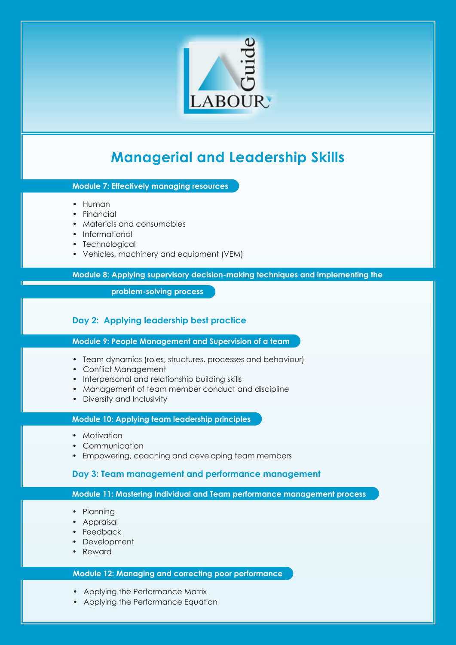

# **Managerial and Leadership Skills**

**Module 7: Effectively managing resources**

- Human
- Financial
- Materials and consumables
- Informational
- Technological
- Vehicles, machinery and equipment (VEM)

**Module 8: Applying supervisory decision-making techniques and implementing the** 

 **problem-solving process**

## **Day 2: Applying leadership best practice**

**Module 9: People Management and Supervision of a team**

- Team dynamics (roles, structures, processes and behaviour)
- Conflict Management
- Interpersonal and relationship building skills
- Management of team member conduct and discipline
- Diversity and Inclusivity

#### **Module 10: Applying team leadership principles**

- Motivation
- Communication
- Empowering, coaching and developing team members

#### **Day 3: Team management and performance management**

#### **Module 11: Mastering Individual and Team performance management process**

- Planning
- Appraisal
- Feedback
- Development
- Reward

### **Module 12: Managing and correcting poor performance**

- Applying the Performance Matrix
- Applying the Performance Equation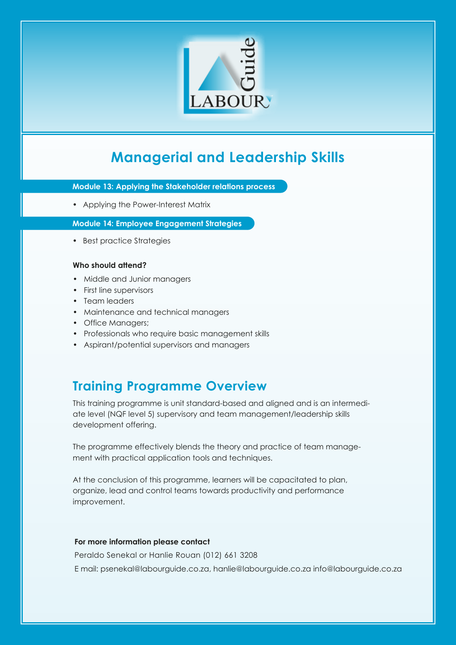

# **Managerial and Leadership Skills**

**Module 13: Applying the Stakeholder relations process**

• Applying the Power-Interest Matrix

**Module 14: Employee Engagement Strategies**

• Best practice Strategies

#### **Who should attend?**

- Middle and Junior managers
- First line supervisors
- Team leaders
- Maintenance and technical managers
- Office Managers;
- Professionals who require basic management skills
- Aspirant/potential supervisors and managers

# **Training Programme Overview**

This training programme is unit standard-based and aligned and is an intermediate level (NQF level 5) supervisory and team management/leadership skills development offering.

The programme effectively blends the theory and practice of team management with practical application tools and techniques.

At the conclusion of this programme, learners will be capacitated to plan, organize, lead and control teams towards productivity and performance improvement.

### **For more information please contact**

Peraldo Senekal or Hanlie Rouan (012) 661 3208 E mail: psenekal@labourguide.co.za, hanlie@labourguide.co.za info@labourguide.co.za